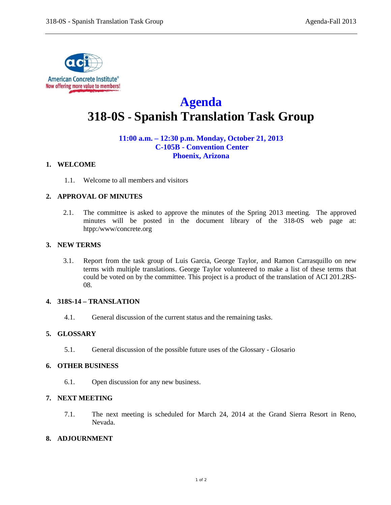

# **Agenda 318-0S - Spanish Translation Task Group**

# **11:00 a.m. – 12:30 p.m. Monday, October 21, 2013 C-105B - Convention Center Phoenix, Arizona**

## **1. WELCOME**

1.1. Welcome to all members and visitors

# **2. APPROVAL OF MINUTES**

2.1. The committee is asked to approve the minutes of the Spring 2013 meeting. The approved minutes will be posted in the document library of the 318-0S web page at: htpp:/www/concrete.org

## **3. NEW TERMS**

3.1. Report from the task group of Luis Garcia, George Taylor, and Ramon Carrasquillo on new terms with multiple translations. George Taylor volunteered to make a list of these terms that could be voted on by the committee. This project is a product of the translation of ACI 201.2RS-08.

## **4. 318S-14 – TRANSLATION**

4.1. General discussion of the current status and the remaining tasks.

## **5. GLOSSARY**

5.1. General discussion of the possible future uses of the Glossary - Glosario

## **6. OTHER BUSINESS**

6.1. Open discussion for any new business.

# **7. NEXT MEETING**

7.1. The next meeting is scheduled for March 24, 2014 at the Grand Sierra Resort in Reno, Nevada.

# **8. ADJOURNMENT**